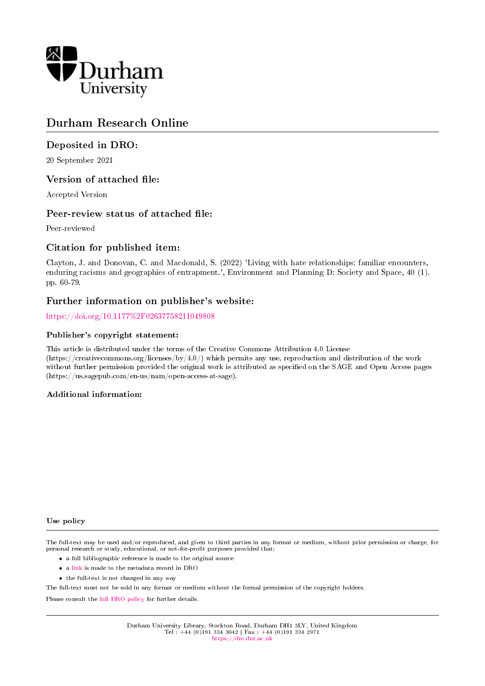

# Durham Research Online

# Deposited in DRO:

20 September 2021

# Version of attached file:

Accepted Version

# Peer-review status of attached file:

Peer-reviewed

# Citation for published item:

Clayton, J. and Donovan, C. and Macdonald, S. (2022) 'Living with hate relationships: familiar encounters, enduring racisms and geographies of entrapment.', Environment and Planning D: Society and Space, 40 (1). pp. 60-79.

# Further information on publisher's website:

<https://doi.org/10.1177%2F02637758211049808>

# Publisher's copyright statement:

This article is distributed under the terms of the Creative Commons Attribution 4.0 License (https://creativecommons.org/licenses/by/4.0/) which permits any use, reproduction and distribution of the work without further permission provided the original work is attributed as specified on the SAGE and Open Access pages (https://us.sagepub.com/en-us/nam/open-access-at-sage).

# Additional information:

#### Use policy

The full-text may be used and/or reproduced, and given to third parties in any format or medium, without prior permission or charge, for personal research or study, educational, or not-for-profit purposes provided that:

- a full bibliographic reference is made to the original source
- a [link](http://dro.dur.ac.uk/33872/) is made to the metadata record in DRO
- the full-text is not changed in any way

The full-text must not be sold in any format or medium without the formal permission of the copyright holders.

Please consult the [full DRO policy](https://dro.dur.ac.uk/policies/usepolicy.pdf) for further details.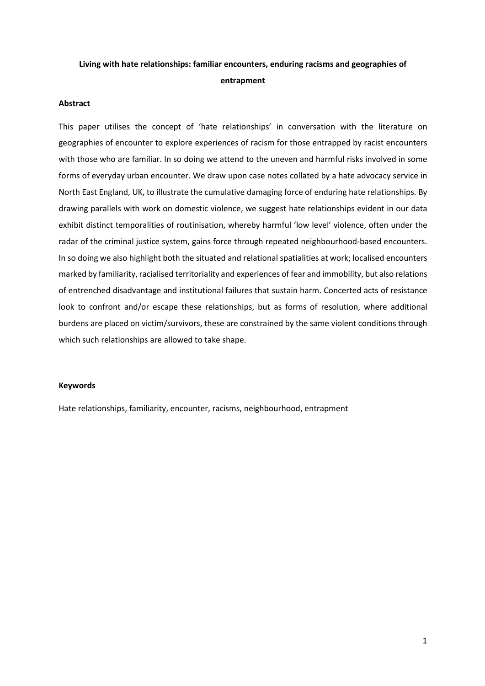# **Living with hate relationships: familiar encounters, enduring racisms and geographies of entrapment**

# **Abstract**

This paper utilises the concept of 'hate relationships' in conversation with the literature on geographies of encounter to explore experiences of racism for those entrapped by racist encounters with those who are familiar. In so doing we attend to the uneven and harmful risks involved in some forms of everyday urban encounter. We draw upon case notes collated by a hate advocacy service in North East England, UK, to illustrate the cumulative damaging force of enduring hate relationships. By drawing parallels with work on domestic violence, we suggest hate relationships evident in our data exhibit distinct temporalities of routinisation, whereby harmful 'low level' violence, often under the radar of the criminal justice system, gains force through repeated neighbourhood-based encounters. In so doing we also highlight both the situated and relational spatialities at work; localised encounters marked by familiarity, racialised territoriality and experiences of fear and immobility, but also relations of entrenched disadvantage and institutional failures that sustain harm. Concerted acts of resistance look to confront and/or escape these relationships, but as forms of resolution, where additional burdens are placed on victim/survivors, these are constrained by the same violent conditions through which such relationships are allowed to take shape.

#### **Keywords**

Hate relationships, familiarity, encounter, racisms, neighbourhood, entrapment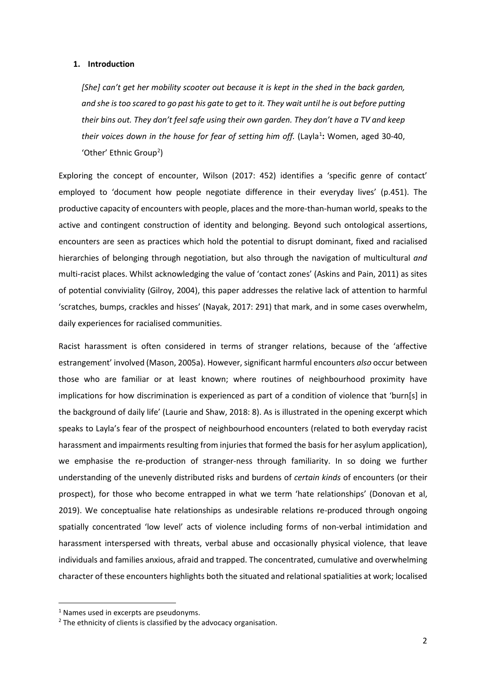#### **1. Introduction**

*[She] can't get her mobility scooter out because it is kept in the shed in the back garden, and she is too scared to go past his gate to get to it. They wait until he is out before putting their bins out. They don't feel safe using their own garden. They don't have a TV and keep*  their voices down in the house for fear of setting him off. (Layla<sup>[1](#page-2-0)</sup>: Women, aged 30-40, 'Other' Ethnic Group<sup>[2](#page-2-1)</sup>)

Exploring the concept of encounter, Wilson (2017: 452) identifies a 'specific genre of contact' employed to 'document how people negotiate difference in their everyday lives' (p.451). The productive capacity of encounters with people, places and the more-than-human world, speaks to the active and contingent construction of identity and belonging. Beyond such ontological assertions, encounters are seen as practices which hold the potential to disrupt dominant, fixed and racialised hierarchies of belonging through negotiation, but also through the navigation of multicultural *and* multi-racist places. Whilst acknowledging the value of 'contact zones' (Askins and Pain, 2011) as sites of potential conviviality (Gilroy, 2004), this paper addresses the relative lack of attention to harmful 'scratches, bumps, crackles and hisses' (Nayak, 2017: 291) that mark, and in some cases overwhelm, daily experiences for racialised communities.

Racist harassment is often considered in terms of stranger relations, because of the 'affective estrangement' involved (Mason, 2005a). However,significant harmful encounters *also* occur between those who are familiar or at least known; where routines of neighbourhood proximity have implications for how discrimination is experienced as part of a condition of violence that 'burn[s] in the background of daily life' (Laurie and Shaw, 2018: 8). As is illustrated in the opening excerpt which speaks to Layla's fear of the prospect of neighbourhood encounters (related to both everyday racist harassment and impairments resulting from injuries that formed the basis for her asylum application), we emphasise the re-production of stranger-ness through familiarity. In so doing we further understanding of the unevenly distributed risks and burdens of *certain kinds* of encounters (or their prospect), for those who become entrapped in what we term 'hate relationships' (Donovan et al, 2019). We conceptualise hate relationships as undesirable relations re-produced through ongoing spatially concentrated 'low level' acts of violence including forms of non-verbal intimidation and harassment interspersed with threats, verbal abuse and occasionally physical violence, that leave individuals and families anxious, afraid and trapped. The concentrated, cumulative and overwhelming character of these encounters highlights both the situated and relational spatialities at work; localised

<span id="page-2-0"></span><sup>&</sup>lt;sup>1</sup> Names used in excerpts are pseudonyms.

<span id="page-2-1"></span> $2$  The ethnicity of clients is classified by the advocacy organisation.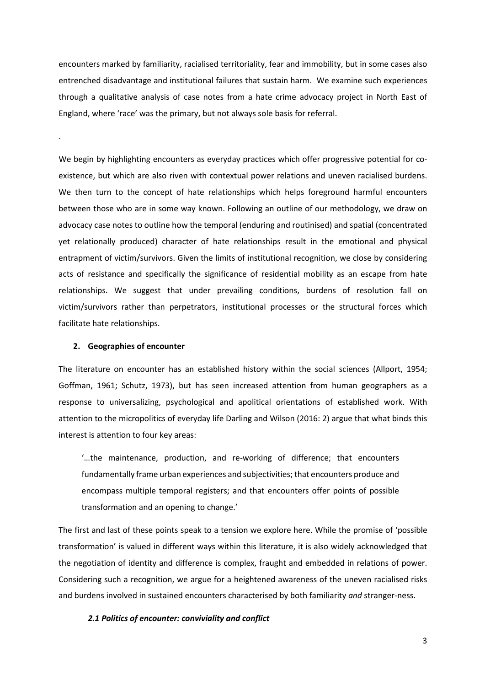encounters marked by familiarity, racialised territoriality, fear and immobility, but in some cases also entrenched disadvantage and institutional failures that sustain harm. We examine such experiences through a qualitative analysis of case notes from a hate crime advocacy project in North East of England, where 'race' was the primary, but not always sole basis for referral.

We begin by highlighting encounters as everyday practices which offer progressive potential for coexistence, but which are also riven with contextual power relations and uneven racialised burdens. We then turn to the concept of hate relationships which helps foreground harmful encounters between those who are in some way known. Following an outline of our methodology, we draw on advocacy case notes to outline how the temporal (enduring and routinised) and spatial (concentrated yet relationally produced) character of hate relationships result in the emotional and physical entrapment of victim/survivors. Given the limits of institutional recognition, we close by considering acts of resistance and specifically the significance of residential mobility as an escape from hate relationships. We suggest that under prevailing conditions, burdens of resolution fall on victim/survivors rather than perpetrators, institutional processes or the structural forces which facilitate hate relationships.

### **2. Geographies of encounter**

.

The literature on encounter has an established history within the social sciences (Allport, 1954; Goffman, 1961; Schutz, 1973), but has seen increased attention from human geographers as a response to universalizing, psychological and apolitical orientations of established work. With attention to the micropolitics of everyday life Darling and Wilson (2016: 2) argue that what binds this interest is attention to four key areas:

'…the maintenance, production, and re-working of difference; that encounters fundamentally frame urban experiences and subjectivities; that encounters produce and encompass multiple temporal registers; and that encounters offer points of possible transformation and an opening to change.'

The first and last of these points speak to a tension we explore here. While the promise of 'possible transformation' is valued in different ways within this literature, it is also widely acknowledged that the negotiation of identity and difference is complex, fraught and embedded in relations of power. Considering such a recognition, we argue for a heightened awareness of the uneven racialised risks and burdens involved in sustained encounters characterised by both familiarity *and* stranger-ness.

### *2.1 Politics of encounter: conviviality and conflict*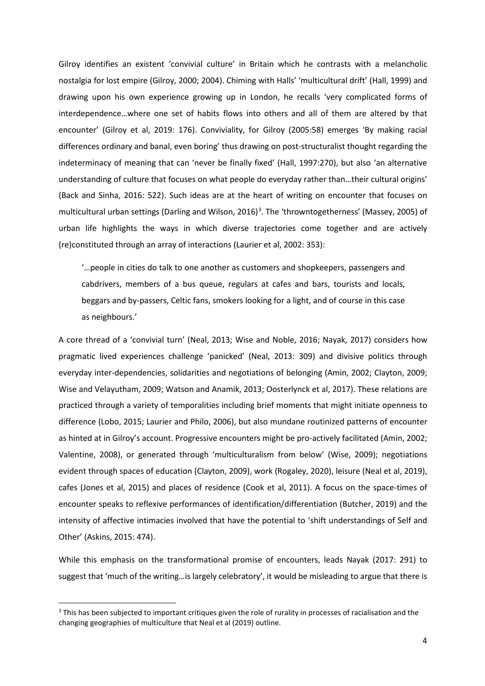Gilroy identifies an existent 'convivial culture' in Britain which he contrasts with a melancholic nostalgia for lost empire (Gilroy, 2000; 2004). Chiming with Halls' 'multicultural drift' (Hall, 1999) and drawing upon his own experience growing up in London, he recalls 'very complicated forms of interdependence…where one set of habits flows into others and all of them are altered by that encounter' (Gilroy et al, 2019: 176). Conviviality, for Gilroy (2005:58) emerges 'By making racial differences ordinary and banal, even boring' thus drawing on post-structuralist thought regarding the indeterminacy of meaning that can 'never be finally fixed' (Hall, 1997:270), but also 'an alternative understanding of culture that focuses on what people do everyday rather than…their cultural origins' (Back and Sinha, 2016: 522). Such ideas are at the heart of writing on encounter that focuses on multicultural urban settings (Darling and Wilson, 2016)<sup>[3](#page-4-0)</sup>. The 'throwntogetherness' (Massey, 2005) of urban life highlights the ways in which diverse trajectories come together and are actively (re)constituted through an array of interactions (Laurier et al, 2002: 353):

'…people in cities do talk to one another as customers and shopkeepers, passengers and cabdrivers, members of a bus queue, regulars at cafes and bars, tourists and locals, beggars and by-passers, Celtic fans, smokers looking for a light, and of course in this case as neighbours.'

A core thread of a 'convivial turn' (Neal, 2013; Wise and Noble, 2016; Nayak, 2017) considers how pragmatic lived experiences challenge 'panicked' (Neal, 2013: 309) and divisive politics through everyday inter-dependencies, solidarities and negotiations of belonging (Amin, 2002; Clayton, 2009; Wise and Velayutham, 2009; Watson and Anamik, 2013; Oosterlynck et al, 2017). These relations are practiced through a variety of temporalities including brief moments that might initiate openness to difference (Lobo, 2015; Laurier and Philo, 2006), but also mundane routinized patterns of encounter as hinted at in Gilroy's account. Progressive encounters might be pro-actively facilitated (Amin, 2002; Valentine, 2008), or generated through 'multiculturalism from below' (Wise, 2009); negotiations evident through spaces of education (Clayton, 2009), work (Rogaley, 2020), leisure (Neal et al, 2019), cafes (Jones et al, 2015) and places of residence (Cook et al, 2011). A focus on the space-times of encounter speaks to reflexive performances of identification/differentiation (Butcher, 2019) and the intensity of affective intimacies involved that have the potential to 'shift understandings of Self and Other' (Askins, 2015: 474).

While this emphasis on the transformational promise of encounters, leads Nayak (2017: 291) to suggest that 'much of the writing…is largely celebratory', it would be misleading to argue that there is

<span id="page-4-0"></span><sup>&</sup>lt;sup>3</sup> This has been subjected to important critiques given the role of rurality in processes of racialisation and the changing geographies of multiculture that Neal et al (2019) outline.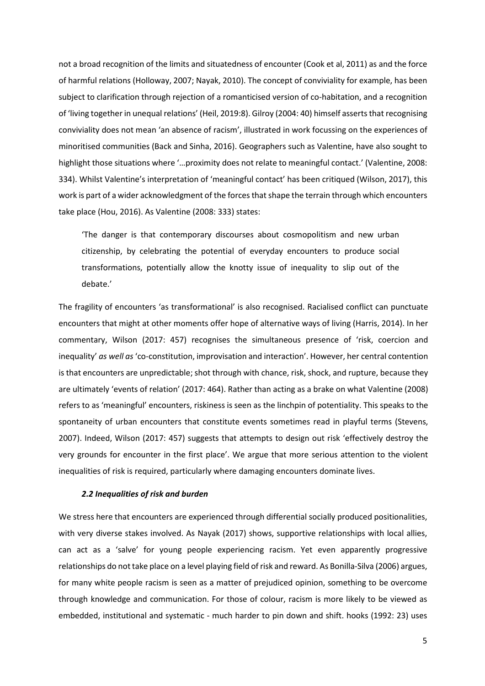not a broad recognition of the limits and situatedness of encounter (Cook et al, 2011) as and the force of harmful relations (Holloway, 2007; Nayak, 2010). The concept of conviviality for example, has been subject to clarification through rejection of a romanticised version of co-habitation, and a recognition of 'living together in unequal relations' (Heil, 2019:8). Gilroy (2004: 40) himself asserts that recognising conviviality does not mean 'an absence of racism', illustrated in work focussing on the experiences of minoritised communities (Back and Sinha, 2016). Geographers such as Valentine, have also sought to highlight those situations where '…proximity does not relate to meaningful contact.' (Valentine, 2008: 334). Whilst Valentine's interpretation of 'meaningful contact' has been critiqued (Wilson, 2017), this work is part of a wider acknowledgment of the forces that shape the terrain through which encounters take place (Hou, 2016). As Valentine (2008: 333) states:

'The danger is that contemporary discourses about cosmopolitism and new urban citizenship, by celebrating the potential of everyday encounters to produce social transformations, potentially allow the knotty issue of inequality to slip out of the debate.'

The fragility of encounters 'as transformational' is also recognised. Racialised conflict can punctuate encounters that might at other moments offer hope of alternative ways of living (Harris, 2014). In her commentary, Wilson (2017: 457) recognises the simultaneous presence of 'risk, coercion and inequality' *as well as* 'co-constitution, improvisation and interaction'. However, her central contention is that encounters are unpredictable; shot through with chance, risk, shock, and rupture, because they are ultimately 'events of relation' (2017: 464). Rather than acting as a brake on what Valentine (2008) refers to as 'meaningful' encounters, riskiness is seen as the linchpin of potentiality. This speaks to the spontaneity of urban encounters that constitute events sometimes read in playful terms (Stevens, 2007). Indeed, Wilson (2017: 457) suggests that attempts to design out risk 'effectively destroy the very grounds for encounter in the first place'. We argue that more serious attention to the violent inequalities of risk is required, particularly where damaging encounters dominate lives.

#### *2.2 Inequalities of risk and burden*

We stress here that encounters are experienced through differential socially produced positionalities, with very diverse stakes involved. As Nayak (2017) shows, supportive relationships with local allies, can act as a 'salve' for young people experiencing racism. Yet even apparently progressive relationships do not take place on a level playing field of risk and reward. As Bonilla-Silva (2006) argues, for many white people racism is seen as a matter of prejudiced opinion, something to be overcome through knowledge and communication. For those of colour, racism is more likely to be viewed as embedded, institutional and systematic - much harder to pin down and shift. hooks (1992: 23) uses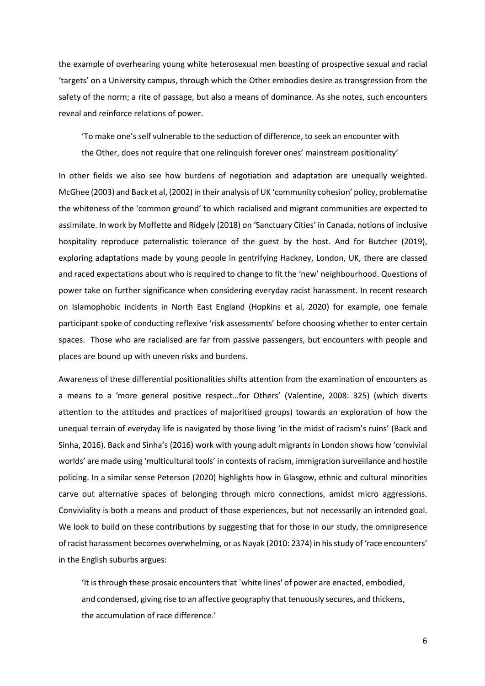the example of overhearing young white heterosexual men boasting of prospective sexual and racial 'targets' on a University campus, through which the Other embodies desire as transgression from the safety of the norm; a rite of passage, but also a means of dominance. As she notes, such encounters reveal and reinforce relations of power.

'To make one's self vulnerable to the seduction of difference, to seek an encounter with the Other, does not require that one relinquish forever ones' mainstream positionality'

In other fields we also see how burdens of negotiation and adaptation are unequally weighted. McGhee (2003) and Back et al, (2002) in their analysis of UK 'community cohesion' policy, problematise the whiteness of the 'common ground' to which racialised and migrant communities are expected to assimilate. In work by Moffette and Ridgely (2018) on 'Sanctuary Cities' in Canada, notions of inclusive hospitality reproduce paternalistic tolerance of the guest by the host. And for Butcher (2019), exploring adaptations made by young people in gentrifying Hackney, London, UK, there are classed and raced expectations about who is required to change to fit the 'new' neighbourhood. Questions of power take on further significance when considering everyday racist harassment. In recent research on Islamophobic incidents in North East England (Hopkins et al, 2020) for example, one female participant spoke of conducting reflexive 'risk assessments' before choosing whether to enter certain spaces. Those who are racialised are far from passive passengers, but encounters with people and places are bound up with uneven risks and burdens.

Awareness of these differential positionalities shifts attention from the examination of encounters as a means to a 'more general positive respect…for Others' (Valentine, 2008: 325) (which diverts attention to the attitudes and practices of majoritised groups) towards an exploration of how the unequal terrain of everyday life is navigated by those living 'in the midst of racism's ruins' (Back and Sinha, 2016). Back and Sinha's (2016) work with young adult migrants in London shows how 'convivial worlds' are made using 'multicultural tools' in contexts of racism, immigration surveillance and hostile policing. In a similar sense Peterson (2020) highlights how in Glasgow, ethnic and cultural minorities carve out alternative spaces of belonging through micro connections, amidst micro aggressions. Conviviality is both a means and product of those experiences, but not necessarily an intended goal. We look to build on these contributions by suggesting that for those in our study, the omnipresence of racist harassment becomes overwhelming, or as Nayak (2010: 2374) in his study of 'race encounters' in the English suburbs argues:

'It is through these prosaic encounters that `white lines' of power are enacted, embodied, and condensed, giving rise to an affective geography that tenuously secures, and thickens, the accumulation of race difference.'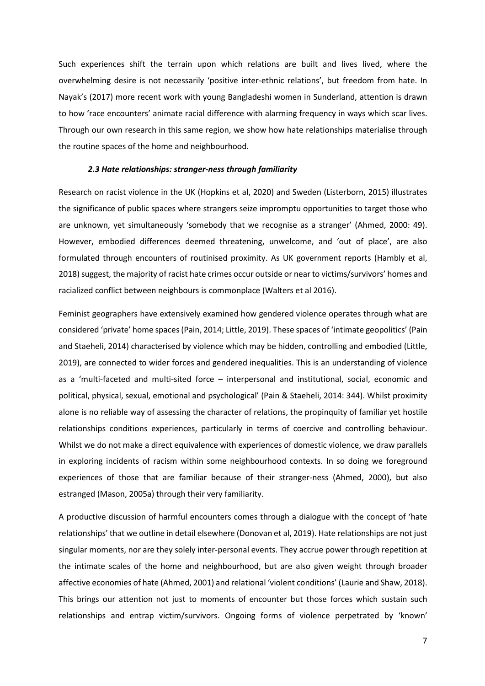Such experiences shift the terrain upon which relations are built and lives lived, where the overwhelming desire is not necessarily 'positive inter-ethnic relations', but freedom from hate. In Nayak's (2017) more recent work with young Bangladeshi women in Sunderland, attention is drawn to how 'race encounters' animate racial difference with alarming frequency in ways which scar lives. Through our own research in this same region, we show how hate relationships materialise through the routine spaces of the home and neighbourhood.

#### *2.3 Hate relationships: stranger-ness through familiarity*

Research on racist violence in the UK (Hopkins et al, 2020) and Sweden (Listerborn, 2015) illustrates the significance of public spaces where strangers seize impromptu opportunities to target those who are unknown, yet simultaneously 'somebody that we recognise as a stranger' (Ahmed, 2000: 49). However, embodied differences deemed threatening, unwelcome, and 'out of place', are also formulated through encounters of routinised proximity. As UK government reports (Hambly et al, 2018) suggest, the majority of racist hate crimes occur outside or near to victims/survivors' homes and racialized conflict between neighbours is commonplace (Walters et al 2016).

Feminist geographers have extensively examined how gendered violence operates through what are considered 'private' home spaces (Pain, 2014; Little, 2019). These spaces of 'intimate geopolitics' (Pain and Staeheli, 2014) characterised by violence which may be hidden, controlling and embodied (Little, 2019), are connected to wider forces and gendered inequalities. This is an understanding of violence as a 'multi-faceted and multi-sited force – interpersonal and institutional, social, economic and political, physical, sexual, emotional and psychological' (Pain & Staeheli, 2014: 344). Whilst proximity alone is no reliable way of assessing the character of relations, the propinquity of familiar yet hostile relationships conditions experiences, particularly in terms of coercive and controlling behaviour. Whilst we do not make a direct equivalence with experiences of domestic violence, we draw parallels in exploring incidents of racism within some neighbourhood contexts. In so doing we foreground experiences of those that are familiar because of their stranger-ness (Ahmed, 2000), but also estranged (Mason, 2005a) through their very familiarity.

A productive discussion of harmful encounters comes through a dialogue with the concept of 'hate relationships' that we outline in detail elsewhere (Donovan et al, 2019). Hate relationships are not just singular moments, nor are they solely inter-personal events. They accrue power through repetition at the intimate scales of the home and neighbourhood, but are also given weight through broader affective economies of hate (Ahmed, 2001) and relational 'violent conditions' (Laurie and Shaw, 2018). This brings our attention not just to moments of encounter but those forces which sustain such relationships and entrap victim/survivors. Ongoing forms of violence perpetrated by 'known'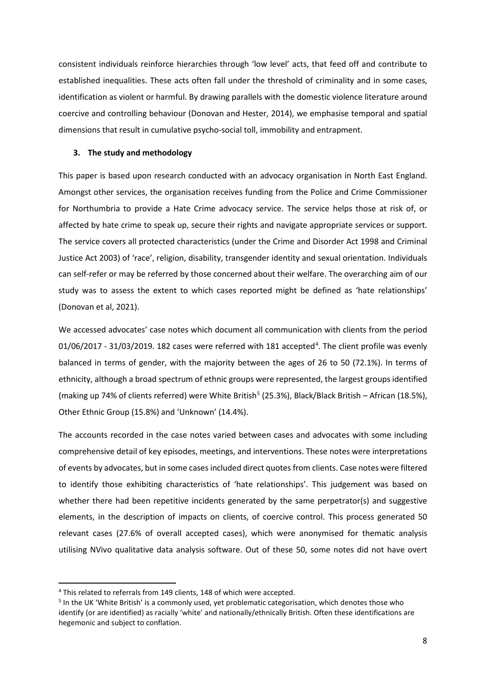consistent individuals reinforce hierarchies through 'low level' acts, that feed off and contribute to established inequalities. These acts often fall under the threshold of criminality and in some cases, identification as violent or harmful. By drawing parallels with the domestic violence literature around coercive and controlling behaviour (Donovan and Hester, 2014), we emphasise temporal and spatial dimensions that result in cumulative psycho-social toll, immobility and entrapment.

### **3. The study and methodology**

This paper is based upon research conducted with an advocacy organisation in North East England. Amongst other services, the organisation receives funding from the Police and Crime Commissioner for Northumbria to provide a Hate Crime advocacy service. The service helps those at risk of, or affected by hate crime to speak up, secure their rights and navigate appropriate services or support. The service covers all protected characteristics (under the Crime and Disorder Act 1998 and Criminal Justice Act 2003) of 'race', religion, disability, transgender identity and sexual orientation. Individuals can self-refer or may be referred by those concerned about their welfare. The overarching aim of our study was to assess the extent to which cases reported might be defined as 'hate relationships' (Donovan et al, 2021).

We accessed advocates' case notes which document all communication with clients from the period 01/06/2017 - 31/03/2019. 182 cases were referred with 181 accepted<sup>[4](#page-8-0)</sup>. The client profile was evenly balanced in terms of gender, with the majority between the ages of 26 to 50 (72.1%). In terms of ethnicity, although a broad spectrum of ethnic groups were represented, the largest groups identified (making up 74% of clients referred) were White British<sup>[5](#page-8-1)</sup> (25.3%), Black/Black British – African (18.5%), Other Ethnic Group (15.8%) and 'Unknown' (14.4%).

The accounts recorded in the case notes varied between cases and advocates with some including comprehensive detail of key episodes, meetings, and interventions. These notes were interpretations of events by advocates, but in some cases included direct quotes from clients. Case notes were filtered to identify those exhibiting characteristics of 'hate relationships'. This judgement was based on whether there had been repetitive incidents generated by the same perpetrator(s) and suggestive elements, in the description of impacts on clients, of coercive control. This process generated 50 relevant cases (27.6% of overall accepted cases), which were anonymised for thematic analysis utilising NVivo qualitative data analysis software. Out of these 50, some notes did not have overt

<span id="page-8-1"></span><span id="page-8-0"></span><sup>&</sup>lt;sup>4</sup> This related to referrals from 149 clients, 148 of which were accepted.<br><sup>5</sup> In the UK 'White British' is a commonly used, yet problematic categorisation, which denotes those who identify (or are identified) as racially 'white' and nationally/ethnically British. Often these identifications are hegemonic and subject to conflation.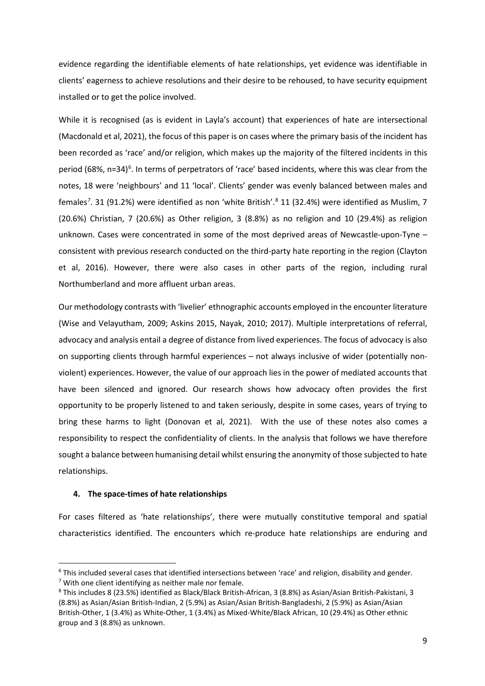evidence regarding the identifiable elements of hate relationships, yet evidence was identifiable in clients' eagerness to achieve resolutions and their desire to be rehoused, to have security equipment installed or to get the police involved.

While it is recognised (as is evident in Layla's account) that experiences of hate are intersectional (Macdonald et al, 2021), the focus of this paper is on cases where the primary basis of the incident has been recorded as 'race' and/or religion, which makes up the majority of the filtered incidents in this period ([6](#page-9-0)8%, n=34)<sup>6</sup>. In terms of perpetrators of 'race' based incidents, where this was clear from the notes, 18 were 'neighbours' and 11 'local'. Clients' gender was evenly balanced between males and females<sup>[7](#page-9-1)</sup>. 31 (91.2%) were identified as non 'white British'.<sup>[8](#page-9-2)</sup> 11 (32.4%) were identified as Muslim, 7 (20.6%) Christian, 7 (20.6%) as Other religion, 3 (8.8%) as no religion and 10 (29.4%) as religion unknown. Cases were concentrated in some of the most deprived areas of Newcastle-upon-Tyne – consistent with previous research conducted on the third-party hate reporting in the region (Clayton et al, 2016). However, there were also cases in other parts of the region, including rural Northumberland and more affluent urban areas.

Our methodology contrasts with 'livelier' ethnographic accounts employed in the encounter literature (Wise and Velayutham, 2009; Askins 2015, Nayak, 2010; 2017). Multiple interpretations of referral, advocacy and analysis entail a degree of distance from lived experiences. The focus of advocacy is also on supporting clients through harmful experiences – not always inclusive of wider (potentially nonviolent) experiences. However, the value of our approach lies in the power of mediated accounts that have been silenced and ignored. Our research shows how advocacy often provides the first opportunity to be properly listened to and taken seriously, despite in some cases, years of trying to bring these harms to light (Donovan et al, 2021). With the use of these notes also comes a responsibility to respect the confidentiality of clients. In the analysis that follows we have therefore sought a balance between humanising detail whilst ensuring the anonymity of those subjected to hate relationships.

### **4. The space-times of hate relationships**

For cases filtered as 'hate relationships', there were mutually constitutive temporal and spatial characteristics identified. The encounters which re-produce hate relationships are enduring and

<span id="page-9-1"></span><span id="page-9-0"></span><sup>6</sup> This included several cases that identified intersections between 'race' and religion, disability and gender.  $7$  With one client identifying as neither male nor female.

<span id="page-9-2"></span><sup>8</sup> This includes 8 (23.5%) identified as Black/Black British-African, 3 (8.8%) as Asian/Asian British-Pakistani, 3 (8.8%) as Asian/Asian British-Indian, 2 (5.9%) as Asian/Asian British-Bangladeshi, 2 (5.9%) as Asian/Asian British-Other, 1 (3.4%) as White-Other, 1 (3.4%) as Mixed-White/Black African, 10 (29.4%) as Other ethnic group and 3 (8.8%) as unknown.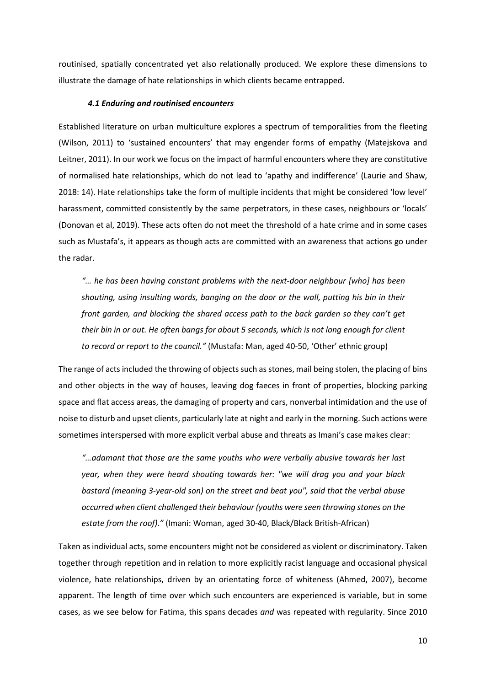routinised, spatially concentrated yet also relationally produced. We explore these dimensions to illustrate the damage of hate relationships in which clients became entrapped.

#### *4.1 Enduring and routinised encounters*

Established literature on urban multiculture explores a spectrum of temporalities from the fleeting (Wilson, 2011) to 'sustained encounters' that may engender forms of empathy (Matejskova and Leitner, 2011). In our work we focus on the impact of harmful encounters where they are constitutive of normalised hate relationships, which do not lead to 'apathy and indifference' (Laurie and Shaw, 2018: 14). Hate relationships take the form of multiple incidents that might be considered 'low level' harassment, committed consistently by the same perpetrators, in these cases, neighbours or 'locals' (Donovan et al, 2019). These acts often do not meet the threshold of a hate crime and in some cases such as Mustafa's, it appears as though acts are committed with an awareness that actions go under the radar.

*"… he has been having constant problems with the next-door neighbour [who] has been shouting, using insulting words, banging on the door or the wall, putting his bin in their front garden, and blocking the shared access path to the back garden so they can't get their bin in or out. He often bangs for about 5 seconds, which is not long enough for client to record or report to the council."* (Mustafa: Man, aged 40-50, 'Other' ethnic group)

The range of acts included the throwing of objects such as stones, mail being stolen, the placing of bins and other objects in the way of houses, leaving dog faeces in front of properties, blocking parking space and flat access areas, the damaging of property and cars, nonverbal intimidation and the use of noise to disturb and upset clients, particularly late at night and early in the morning. Such actions were sometimes interspersed with more explicit verbal abuse and threats as Imani's case makes clear:

*"…adamant that those are the same youths who were verbally abusive towards her last year, when they were heard shouting towards her: "we will drag you and your black bastard (meaning 3-year-old son) on the street and beat you", said that the verbal abuse occurred when client challenged their behaviour (youths were seen throwing stones on the estate from the roof)."* (Imani: Woman, aged 30-40, Black/Black British-African)

Taken as individual acts, some encounters might not be considered as violent or discriminatory. Taken together through repetition and in relation to more explicitly racist language and occasional physical violence, hate relationships, driven by an orientating force of whiteness (Ahmed, 2007), become apparent. The length of time over which such encounters are experienced is variable, but in some cases, as we see below for Fatima, this spans decades *and* was repeated with regularity. Since 2010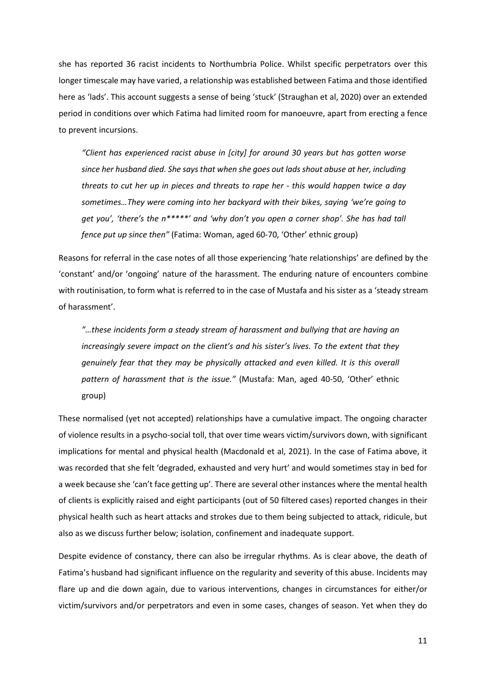she has reported 36 racist incidents to Northumbria Police. Whilst specific perpetrators over this longer timescale may have varied, a relationship was established between Fatima and those identified here as 'lads'. This account suggests a sense of being 'stuck' (Straughan et al, 2020) over an extended period in conditions over which Fatima had limited room for manoeuvre, apart from erecting a fence to prevent incursions.

*"Client has experienced racist abuse in [city] for around 30 years but has gotten worse since her husband died. She says that when she goes out lads shout abuse at her, including threats to cut her up in pieces and threats to rape her - this would happen twice a day sometimes…They were coming into her backyard with their bikes, saying 'we're going to get you', 'there's the n\*\*\*\*\*' and 'why don't you open a corner shop'. She has had tall fence put up since then"* (Fatima: Woman, aged 60-70, 'Other' ethnic group)

Reasons for referral in the case notes of all those experiencing 'hate relationships' are defined by the 'constant' and/or 'ongoing' nature of the harassment. The enduring nature of encounters combine with routinisation, to form what is referred to in the case of Mustafa and his sister as a 'steady stream of harassment'.

*"…these incidents form a steady stream of harassment and bullying that are having an increasingly severe impact on the client's and his sister's lives. To the extent that they genuinely fear that they may be physically attacked and even killed. It is this overall pattern of harassment that is the issue."* (Mustafa: Man, aged 40-50, 'Other' ethnic group)

These normalised (yet not accepted) relationships have a cumulative impact. The ongoing character of violence results in a psycho-social toll, that over time wears victim/survivors down, with significant implications for mental and physical health (Macdonald et al, 2021). In the case of Fatima above, it was recorded that she felt 'degraded, exhausted and very hurt' and would sometimes stay in bed for a week because she 'can't face getting up'. There are several other instances where the mental health of clients is explicitly raised and eight participants (out of 50 filtered cases) reported changes in their physical health such as heart attacks and strokes due to them being subjected to attack, ridicule, but also as we discuss further below; isolation, confinement and inadequate support.

Despite evidence of constancy, there can also be irregular rhythms. As is clear above, the death of Fatima's husband had significant influence on the regularity and severity of this abuse. Incidents may flare up and die down again, due to various interventions, changes in circumstances for either/or victim/survivors and/or perpetrators and even in some cases, changes of season. Yet when they do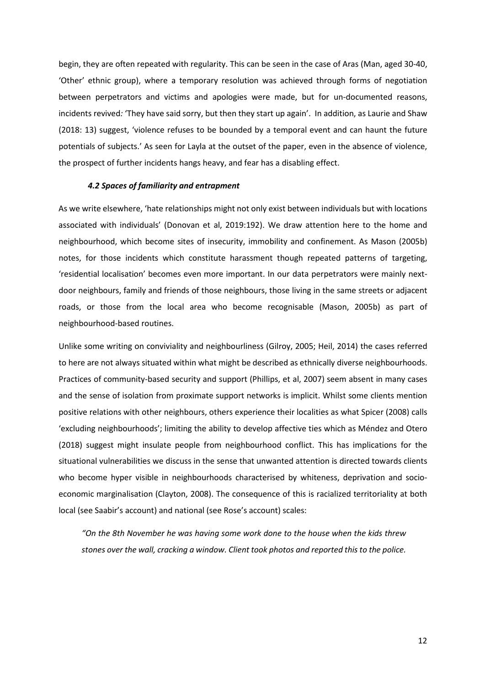begin, they are often repeated with regularity. This can be seen in the case of Aras (Man, aged 30-40, 'Other' ethnic group), where a temporary resolution was achieved through forms of negotiation between perpetrators and victims and apologies were made, but for un-documented reasons, incidents revived*:* 'They have said sorry, but then they start up again'. In addition, as Laurie and Shaw (2018: 13) suggest, 'violence refuses to be bounded by a temporal event and can haunt the future potentials of subjects.' As seen for Layla at the outset of the paper, even in the absence of violence, the prospect of further incidents hangs heavy, and fear has a disabling effect.

#### *4.2 Spaces of familiarity and entrapment*

As we write elsewhere, 'hate relationships might not only exist between individuals but with locations associated with individuals' (Donovan et al, 2019:192). We draw attention here to the home and neighbourhood, which become sites of insecurity, immobility and confinement. As Mason (2005b) notes, for those incidents which constitute harassment though repeated patterns of targeting, 'residential localisation' becomes even more important. In our data perpetrators were mainly nextdoor neighbours, family and friends of those neighbours, those living in the same streets or adjacent roads, or those from the local area who become recognisable (Mason, 2005b) as part of neighbourhood-based routines.

Unlike some writing on conviviality and neighbourliness (Gilroy, 2005; Heil, 2014) the cases referred to here are not always situated within what might be described as ethnically diverse neighbourhoods. Practices of community-based security and support (Phillips, et al, 2007) seem absent in many cases and the sense of isolation from proximate support networks is implicit. Whilst some clients mention positive relations with other neighbours, others experience their localities as what Spicer (2008) calls 'excluding neighbourhoods'; limiting the ability to develop affective ties which as Méndez and Otero (2018) suggest might insulate people from neighbourhood conflict. This has implications for the situational vulnerabilities we discuss in the sense that unwanted attention is directed towards clients who become hyper visible in neighbourhoods characterised by whiteness, deprivation and socioeconomic marginalisation (Clayton, 2008). The consequence of this is racialized territoriality at both local (see Saabir's account) and national (see Rose's account) scales:

*"On the 8th November he was having some work done to the house when the kids threw stones over the wall, cracking a window. Client took photos and reported this to the police.*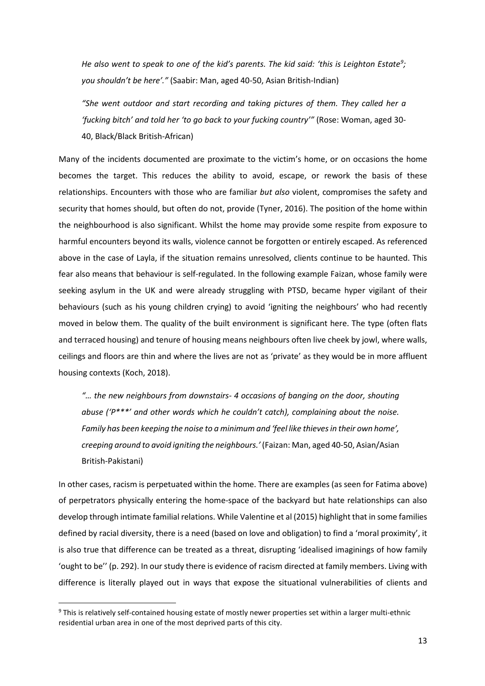*He also went to speak to one of the kid's parents. The kid said: 'this is Leighton Estate[9](#page-13-0) ; you shouldn't be here'."* (Saabir: Man, aged 40-50, Asian British-Indian)

*"She went outdoor and start recording and taking pictures of them. They called her a 'fucking bitch' and told her 'to go back to your fucking country'"* (Rose: Woman, aged 30- 40, Black/Black British-African)

Many of the incidents documented are proximate to the victim's home, or on occasions the home becomes the target. This reduces the ability to avoid, escape, or rework the basis of these relationships. Encounters with those who are familiar *but also* violent, compromises the safety and security that homes should, but often do not, provide (Tyner, 2016). The position of the home within the neighbourhood is also significant. Whilst the home may provide some respite from exposure to harmful encounters beyond its walls, violence cannot be forgotten or entirely escaped. As referenced above in the case of Layla, if the situation remains unresolved, clients continue to be haunted. This fear also means that behaviour is self-regulated. In the following example Faizan, whose family were seeking asylum in the UK and were already struggling with PTSD, became hyper vigilant of their behaviours (such as his young children crying) to avoid 'igniting the neighbours' who had recently moved in below them. The quality of the built environment is significant here. The type (often flats and terraced housing) and tenure of housing means neighbours often live cheek by jowl, where walls, ceilings and floors are thin and where the lives are not as 'private' as they would be in more affluent housing contexts (Koch, 2018).

*"… the new neighbours from downstairs- 4 occasions of banging on the door, shouting abuse ('P\*\*\*' and other words which he couldn't catch), complaining about the noise. Family has been keeping the noise to a minimum and 'feel like thieves in their own home', creeping around to avoid igniting the neighbours.'* (Faizan: Man, aged 40-50, Asian/Asian British-Pakistani)

In other cases, racism is perpetuated within the home. There are examples (as seen for Fatima above) of perpetrators physically entering the home-space of the backyard but hate relationships can also develop through intimate familial relations. While Valentine et al (2015) highlight that in some families defined by racial diversity, there is a need (based on love and obligation) to find a 'moral proximity', it is also true that difference can be treated as a threat, disrupting 'idealised imaginings of how family 'ought to be'' (p. 292). In our study there is evidence of racism directed at family members. Living with difference is literally played out in ways that expose the situational vulnerabilities of clients and

<span id="page-13-0"></span><sup>9</sup> This is relatively self-contained housing estate of mostly newer properties set within a larger multi-ethnic residential urban area in one of the most deprived parts of this city.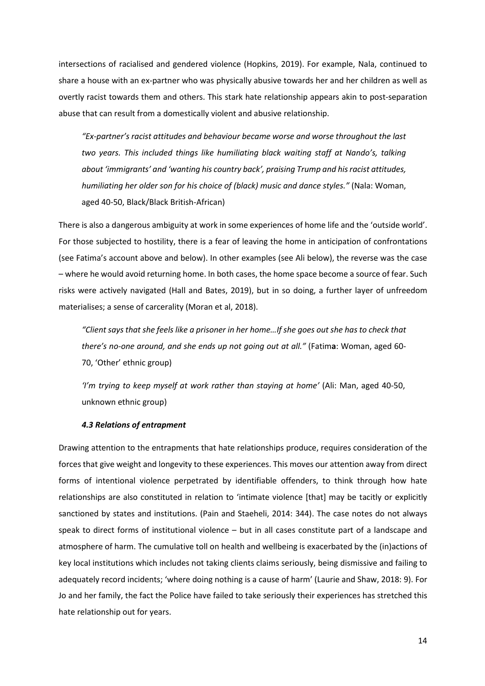intersections of racialised and gendered violence (Hopkins, 2019). For example, Nala, continued to share a house with an ex-partner who was physically abusive towards her and her children as well as overtly racist towards them and others. This stark hate relationship appears akin to post-separation abuse that can result from a domestically violent and abusive relationship.

*"Ex-partner's racist attitudes and behaviour became worse and worse throughout the last two years. This included things like humiliating black waiting staff at Nando's, talking about 'immigrants' and 'wanting his country back', praising Trump and his racist attitudes, humiliating her older son for his choice of (black) music and dance styles."* (Nala: Woman, aged 40-50, Black/Black British-African)

There is also a dangerous ambiguity at work in some experiences of home life and the 'outside world'. For those subjected to hostility, there is a fear of leaving the home in anticipation of confrontations (see Fatima's account above and below). In other examples (see Ali below), the reverse was the case – where he would avoid returning home. In both cases, the home space become a source of fear. Such risks were actively navigated (Hall and Bates, 2019), but in so doing, a further layer of unfreedom materialises; a sense of carcerality (Moran et al, 2018).

*"Client says that she feels like a prisoner in her home…If she goes out she has to check that there's no-one around, and she ends up not going out at all."* (Fatim**a**: Woman, aged 60- 70, 'Other' ethnic group)

*'I'm trying to keep myself at work rather than staying at home'* (Ali: Man, aged 40-50, unknown ethnic group)

### *4.3 Relations of entrapment*

Drawing attention to the entrapments that hate relationships produce, requires consideration of the forces that give weight and longevity to these experiences. This moves our attention away from direct forms of intentional violence perpetrated by identifiable offenders, to think through how hate relationships are also constituted in relation to 'intimate violence [that] may be tacitly or explicitly sanctioned by states and institutions. (Pain and Staeheli, 2014: 344). The case notes do not always speak to direct forms of institutional violence – but in all cases constitute part of a landscape and atmosphere of harm. The cumulative toll on health and wellbeing is exacerbated by the (in)actions of key local institutions which includes not taking clients claims seriously, being dismissive and failing to adequately record incidents; 'where doing nothing is a cause of harm' (Laurie and Shaw, 2018: 9). For Jo and her family, the fact the Police have failed to take seriously their experiences has stretched this hate relationship out for years.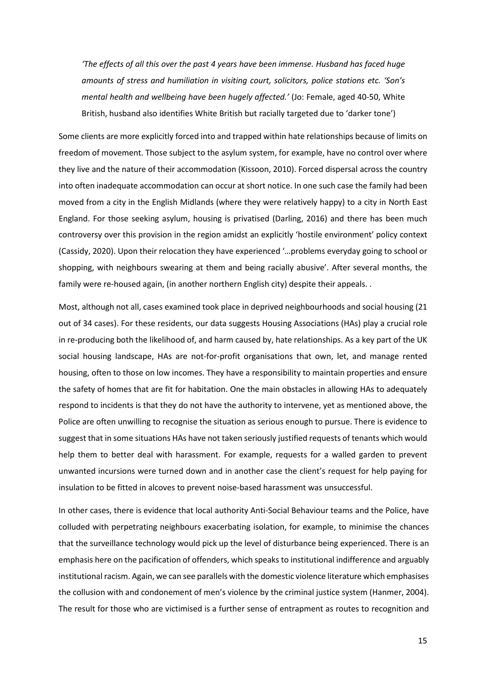*'The effects of all this over the past 4 years have been immense. Husband has faced huge amounts of stress and humiliation in visiting court, solicitors, police stations etc. 'Son's mental health and wellbeing have been hugely affected.'* (Jo: Female, aged 40-50, White British, husband also identifies White British but racially targeted due to 'darker tone')

Some clients are more explicitly forced into and trapped within hate relationships because of limits on freedom of movement. Those subject to the asylum system, for example, have no control over where they live and the nature of their accommodation (Kissoon, 2010). Forced dispersal across the country into often inadequate accommodation can occur at short notice. In one such case the family had been moved from a city in the English Midlands (where they were relatively happy) to a city in North East England. For those seeking asylum, housing is privatised (Darling, 2016) and there has been much controversy over this provision in the region amidst an explicitly 'hostile environment' policy context (Cassidy, 2020). Upon their relocation they have experienced '…problems everyday going to school or shopping, with neighbours swearing at them and being racially abusive'. After several months, the family were re-housed again, (in another northern English city) despite their appeals. .

Most, although not all, cases examined took place in deprived neighbourhoods and social housing (21 out of 34 cases). For these residents, our data suggests Housing Associations (HAs) play a crucial role in re-producing both the likelihood of, and harm caused by, hate relationships. As a key part of the UK social housing landscape, HAs are not-for-profit organisations that own, let, and manage rented housing, often to those on low incomes. They have a responsibility to maintain properties and ensure the safety of homes that are fit for habitation. One the main obstacles in allowing HAs to adequately respond to incidents is that they do not have the authority to intervene, yet as mentioned above, the Police are often unwilling to recognise the situation as serious enough to pursue. There is evidence to suggest that in some situations HAs have not taken seriously justified requests of tenants which would help them to better deal with harassment. For example, requests for a walled garden to prevent unwanted incursions were turned down and in another case the client's request for help paying for insulation to be fitted in alcoves to prevent noise-based harassment was unsuccessful.

In other cases, there is evidence that local authority Anti-Social Behaviour teams and the Police, have colluded with perpetrating neighbours exacerbating isolation, for example, to minimise the chances that the surveillance technology would pick up the level of disturbance being experienced. There is an emphasis here on the pacification of offenders, which speaks to institutional indifference and arguably institutional racism. Again, we can see parallels with the domestic violence literature which emphasises the collusion with and condonement of men's violence by the criminal justice system (Hanmer, 2004). The result for those who are victimised is a further sense of entrapment as routes to recognition and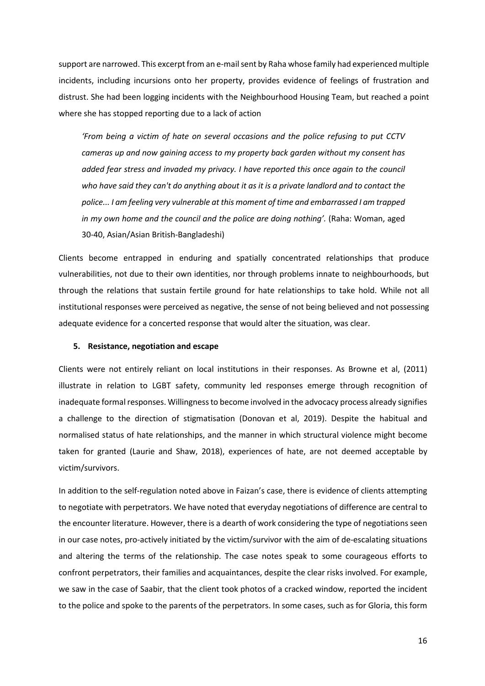support are narrowed. This excerpt from an e-mail sent by Raha whose family had experienced multiple incidents, including incursions onto her property, provides evidence of feelings of frustration and distrust. She had been logging incidents with the Neighbourhood Housing Team, but reached a point where she has stopped reporting due to a lack of action

*'From being a victim of hate on several occasions and the police refusing to put CCTV cameras up and now gaining access to my property back garden without my consent has added fear stress and invaded my privacy. I have reported this once again to the council who have said they can't do anything about it as it is a private landlord and to contact the police... I am feeling very vulnerable at this moment of time and embarrassed I am trapped in my own home and the council and the police are doing nothing'.* (Raha: Woman, aged 30-40, Asian/Asian British-Bangladeshi)

Clients become entrapped in enduring and spatially concentrated relationships that produce vulnerabilities, not due to their own identities, nor through problems innate to neighbourhoods, but through the relations that sustain fertile ground for hate relationships to take hold. While not all institutional responses were perceived as negative, the sense of not being believed and not possessing adequate evidence for a concerted response that would alter the situation, was clear.

# **5. Resistance, negotiation and escape**

Clients were not entirely reliant on local institutions in their responses. As Browne et al, (2011) illustrate in relation to LGBT safety, community led responses emerge through recognition of inadequate formal responses. Willingnessto become involved in the advocacy process already signifies a challenge to the direction of stigmatisation (Donovan et al, 2019). Despite the habitual and normalised status of hate relationships, and the manner in which structural violence might become taken for granted (Laurie and Shaw, 2018), experiences of hate, are not deemed acceptable by victim/survivors.

In addition to the self-regulation noted above in Faizan's case, there is evidence of clients attempting to negotiate with perpetrators. We have noted that everyday negotiations of difference are central to the encounter literature. However, there is a dearth of work considering the type of negotiations seen in our case notes, pro-actively initiated by the victim/survivor with the aim of de-escalating situations and altering the terms of the relationship. The case notes speak to some courageous efforts to confront perpetrators, their families and acquaintances, despite the clear risks involved. For example, we saw in the case of Saabir, that the client took photos of a cracked window, reported the incident to the police and spoke to the parents of the perpetrators. In some cases, such as for Gloria, this form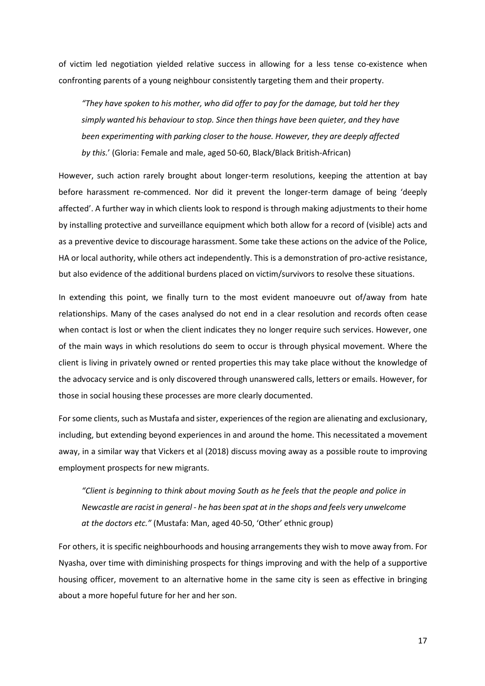of victim led negotiation yielded relative success in allowing for a less tense co-existence when confronting parents of a young neighbour consistently targeting them and their property.

*"They have spoken to his mother, who did offer to pay for the damage, but told her they simply wanted his behaviour to stop. Since then things have been quieter, and they have been experimenting with parking closer to the house. However, they are deeply affected by this.*' (Gloria: Female and male, aged 50-60, Black/Black British-African)

However, such action rarely brought about longer-term resolutions, keeping the attention at bay before harassment re-commenced. Nor did it prevent the longer-term damage of being 'deeply affected'. A further way in which clients look to respond is through making adjustments to their home by installing protective and surveillance equipment which both allow for a record of (visible) acts and as a preventive device to discourage harassment. Some take these actions on the advice of the Police, HA or local authority, while others act independently. This is a demonstration of pro-active resistance, but also evidence of the additional burdens placed on victim/survivors to resolve these situations.

In extending this point, we finally turn to the most evident manoeuvre out of/away from hate relationships. Many of the cases analysed do not end in a clear resolution and records often cease when contact is lost or when the client indicates they no longer require such services. However, one of the main ways in which resolutions do seem to occur is through physical movement. Where the client is living in privately owned or rented properties this may take place without the knowledge of the advocacy service and is only discovered through unanswered calls, letters or emails. However, for those in social housing these processes are more clearly documented.

For some clients, such as Mustafa and sister, experiences of the region are alienating and exclusionary, including, but extending beyond experiences in and around the home. This necessitated a movement away, in a similar way that Vickers et al (2018) discuss moving away as a possible route to improving employment prospects for new migrants.

*"Client is beginning to think about moving South as he feels that the people and police in Newcastle are racist in general - he has been spat at in the shops and feels very unwelcome at the doctors etc."* (Mustafa: Man, aged 40-50, 'Other' ethnic group)

For others, it is specific neighbourhoods and housing arrangements they wish to move away from. For Nyasha, over time with diminishing prospects for things improving and with the help of a supportive housing officer, movement to an alternative home in the same city is seen as effective in bringing about a more hopeful future for her and her son.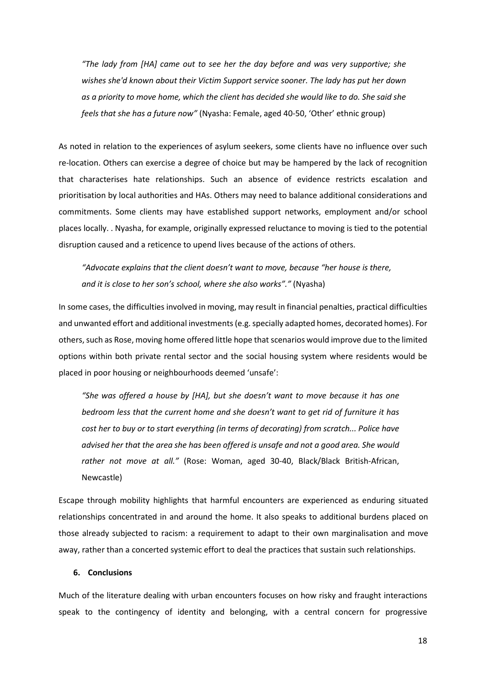*"The lady from [HA] came out to see her the day before and was very supportive; she wishes she'd known about their Victim Support service sooner. The lady has put her down as a priority to move home, which the client has decided she would like to do. She said she feels that she has a future now"* (Nyasha: Female, aged 40-50, 'Other' ethnic group)

As noted in relation to the experiences of asylum seekers, some clients have no influence over such re-location. Others can exercise a degree of choice but may be hampered by the lack of recognition that characterises hate relationships. Such an absence of evidence restricts escalation and prioritisation by local authorities and HAs. Others may need to balance additional considerations and commitments. Some clients may have established support networks, employment and/or school places locally. . Nyasha, for example, originally expressed reluctance to moving is tied to the potential disruption caused and a reticence to upend lives because of the actions of others.

*"Advocate explains that the client doesn't want to move, because "her house is there, and it is close to her son's school, where she also works"."* (Nyasha)

In some cases, the difficulties involved in moving, may result in financial penalties, practical difficulties and unwanted effort and additional investments (e.g. specially adapted homes, decorated homes). For others, such as Rose, moving home offered little hope that scenarios would improve due to the limited options within both private rental sector and the social housing system where residents would be placed in poor housing or neighbourhoods deemed 'unsafe':

*"She was offered a house by [HA], but she doesn't want to move because it has one bedroom less that the current home and she doesn't want to get rid of furniture it has cost her to buy or to start everything (in terms of decorating) from scratch... Police have advised her that the area she has been offered is unsafe and not a good area. She would rather not move at all."* (Rose: Woman, aged 30-40, Black/Black British-African, Newcastle)

Escape through mobility highlights that harmful encounters are experienced as enduring situated relationships concentrated in and around the home. It also speaks to additional burdens placed on those already subjected to racism: a requirement to adapt to their own marginalisation and move away, rather than a concerted systemic effort to deal the practices that sustain such relationships.

# **6. Conclusions**

Much of the literature dealing with urban encounters focuses on how risky and fraught interactions speak to the contingency of identity and belonging, with a central concern for progressive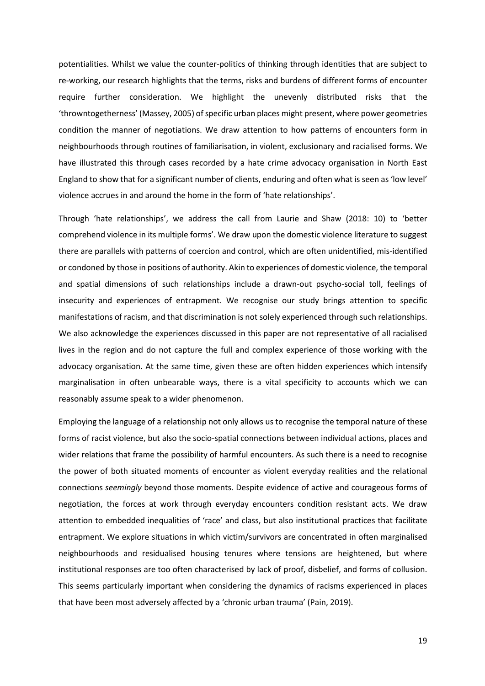potentialities. Whilst we value the counter-politics of thinking through identities that are subject to re-working, our research highlights that the terms, risks and burdens of different forms of encounter require further consideration. We highlight the unevenly distributed risks that the 'throwntogetherness' (Massey, 2005) of specific urban places might present, where power geometries condition the manner of negotiations. We draw attention to how patterns of encounters form in neighbourhoods through routines of familiarisation, in violent, exclusionary and racialised forms. We have illustrated this through cases recorded by a hate crime advocacy organisation in North East England to show that for a significant number of clients, enduring and often what is seen as 'low level' violence accrues in and around the home in the form of 'hate relationships'.

Through 'hate relationships', we address the call from Laurie and Shaw (2018: 10) to 'better comprehend violence in its multiple forms'. We draw upon the domestic violence literature to suggest there are parallels with patterns of coercion and control, which are often unidentified, mis-identified or condoned by those in positions of authority. Akin to experiences of domestic violence, the temporal and spatial dimensions of such relationships include a drawn-out psycho-social toll, feelings of insecurity and experiences of entrapment. We recognise our study brings attention to specific manifestations of racism, and that discrimination is not solely experienced through such relationships. We also acknowledge the experiences discussed in this paper are not representative of all racialised lives in the region and do not capture the full and complex experience of those working with the advocacy organisation. At the same time, given these are often hidden experiences which intensify marginalisation in often unbearable ways, there is a vital specificity to accounts which we can reasonably assume speak to a wider phenomenon.

Employing the language of a relationship not only allows us to recognise the temporal nature of these forms of racist violence, but also the socio-spatial connections between individual actions, places and wider relations that frame the possibility of harmful encounters. As such there is a need to recognise the power of both situated moments of encounter as violent everyday realities and the relational connections *seemingly* beyond those moments. Despite evidence of active and courageous forms of negotiation, the forces at work through everyday encounters condition resistant acts. We draw attention to embedded inequalities of 'race' and class, but also institutional practices that facilitate entrapment. We explore situations in which victim/survivors are concentrated in often marginalised neighbourhoods and residualised housing tenures where tensions are heightened, but where institutional responses are too often characterised by lack of proof, disbelief, and forms of collusion. This seems particularly important when considering the dynamics of racisms experienced in places that have been most adversely affected by a 'chronic urban trauma' (Pain, 2019).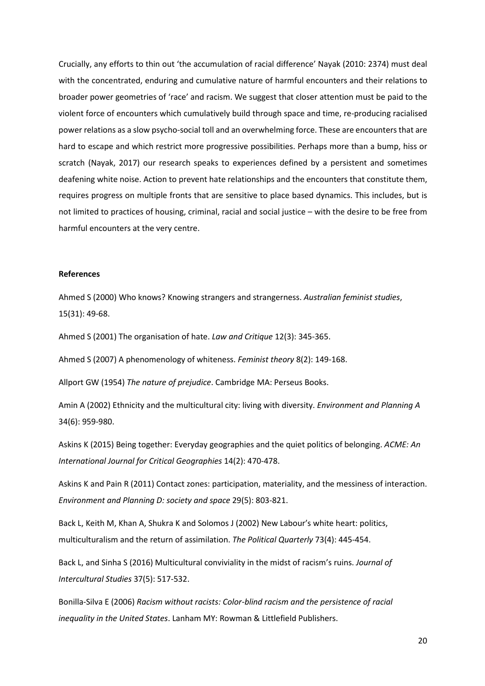Crucially, any efforts to thin out 'the accumulation of racial difference' Nayak (2010: 2374) must deal with the concentrated, enduring and cumulative nature of harmful encounters and their relations to broader power geometries of 'race' and racism. We suggest that closer attention must be paid to the violent force of encounters which cumulatively build through space and time, re-producing racialised power relations as a slow psycho-social toll and an overwhelming force. These are encounters that are hard to escape and which restrict more progressive possibilities. Perhaps more than a bump, hiss or scratch (Nayak, 2017) our research speaks to experiences defined by a persistent and sometimes deafening white noise. Action to prevent hate relationships and the encounters that constitute them, requires progress on multiple fronts that are sensitive to place based dynamics. This includes, but is not limited to practices of housing, criminal, racial and social justice – with the desire to be free from harmful encounters at the very centre.

# **References**

Ahmed S (2000) Who knows? Knowing strangers and strangerness. *Australian feminist studies*, 15(31): 49-68.

Ahmed S (2001) The organisation of hate. *Law and Critique* 12(3): 345-365.

Ahmed S (2007) A phenomenology of whiteness. *Feminist theory* 8(2): 149-168.

Allport GW (1954) *The nature of prejudice*. Cambridge MA: Perseus Books.

Amin A (2002) Ethnicity and the multicultural city: living with diversity. *Environment and Planning A* 34(6): 959-980.

Askins K (2015) Being together: Everyday geographies and the quiet politics of belonging. *ACME: An International Journal for Critical Geographies* 14(2): 470-478.

Askins K and Pain R (2011) Contact zones: participation, materiality, and the messiness of interaction. *Environment and Planning D: society and space* 29(5): 803-821.

Back L, Keith M, Khan A, Shukra K and Solomos J (2002) New Labour's white heart: politics, multiculturalism and the return of assimilation. *The Political Quarterly* 73(4): 445-454.

Back L, and Sinha S (2016) Multicultural conviviality in the midst of racism's ruins. *Journal of Intercultural Studies* 37(5): 517-532.

Bonilla-Silva E (2006) *Racism without racists: Color-blind racism and the persistence of racial inequality in the United States*. Lanham MY: Rowman & Littlefield Publishers.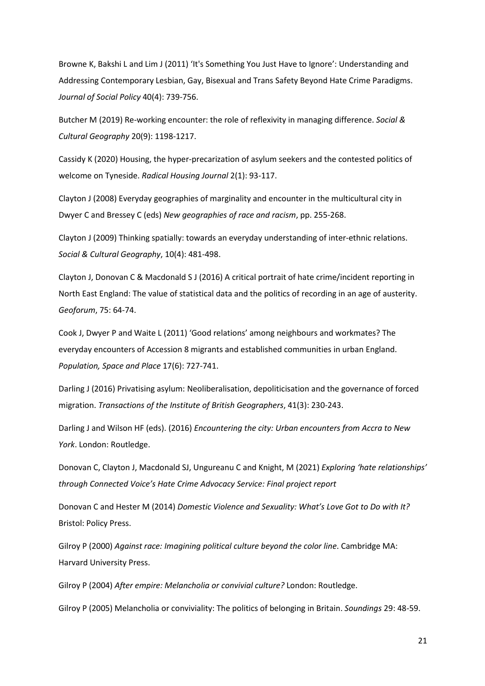Browne K, Bakshi L and Lim J (2011) 'It's Something You Just Have to Ignore': Understanding and Addressing Contemporary Lesbian, Gay, Bisexual and Trans Safety Beyond Hate Crime Paradigms. *Journal of Social Policy* 40(4): 739-756.

Butcher M (2019) Re-working encounter: the role of reflexivity in managing difference. *Social & Cultural Geography* 20(9): 1198-1217.

Cassidy K (2020) Housing, the hyper-precarization of asylum seekers and the contested politics of welcome on Tyneside. *Radical Housing Journal* 2(1): 93-117.

Clayton J (2008) Everyday geographies of marginality and encounter in the multicultural city in Dwyer C and Bressey C (eds) *New geographies of race and racism*, pp. 255-268.

Clayton J (2009) Thinking spatially: towards an everyday understanding of inter-ethnic relations. *Social & Cultural Geography*, 10(4): 481-498.

Clayton J, Donovan C & Macdonald S J (2016) A critical portrait of hate crime/incident reporting in North East England: The value of statistical data and the politics of recording in an age of austerity. *Geoforum*, 75: 64-74.

Cook J, Dwyer P and Waite L (2011) 'Good relations' among neighbours and workmates? The everyday encounters of Accession 8 migrants and established communities in urban England. *Population, Space and Place* 17(6): 727-741.

Darling J (2016) Privatising asylum: Neoliberalisation, depoliticisation and the governance of forced migration. *Transactions of the Institute of British Geographers*, 41(3): 230-243.

Darling J and Wilson HF (eds). (2016) *Encountering the city: Urban encounters from Accra to New York*. London: Routledge.

Donovan C, Clayton J, Macdonald SJ, Ungureanu C and Knight, M (2021) *Exploring 'hate relationships' through Connected Voice's Hate Crime Advocacy Service: Final project report* 

Donovan C and Hester M (2014) *Domestic Violence and Sexuality: What's Love Got to Do with It?* Bristol: Policy Press.

Gilroy P (2000) *Against race: Imagining political culture beyond the color line*. Cambridge MA: Harvard University Press.

Gilroy P (2004) *After empire: Melancholia or convivial culture?* London: Routledge.

Gilroy P (2005) Melancholia or conviviality: The politics of belonging in Britain. *Soundings* 29: 48-59.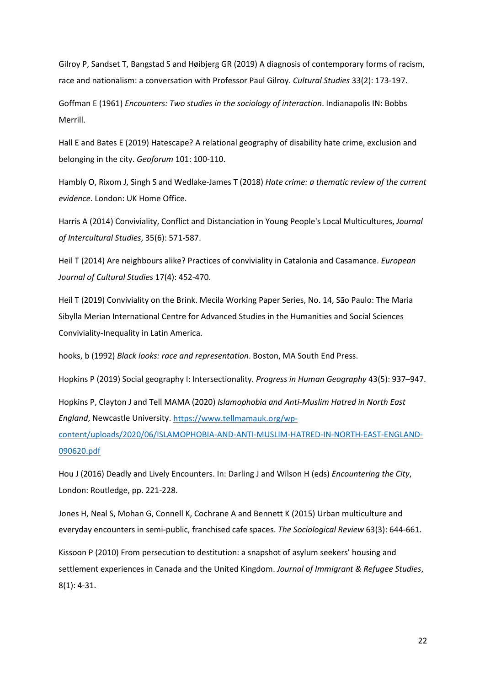Gilroy P, Sandset T, Bangstad S and Høibjerg GR (2019) A diagnosis of contemporary forms of racism, race and nationalism: a conversation with Professor Paul Gilroy. *Cultural Studies* 33(2): 173-197.

Goffman E (1961) *Encounters: Two studies in the sociology of interaction*. Indianapolis IN: Bobbs Merrill.

Hall E and Bates E (2019) Hatescape? A relational geography of disability hate crime, exclusion and belonging in the city. *Geoforum* 101: 100-110.

Hambly O, Rixom J, Singh S and Wedlake-James T (2018) *Hate crime: a thematic review of the current evidence*. London: UK Home Office.

Harris A (2014) Conviviality, Conflict and Distanciation in Young People's Local Multicultures, *Journal of Intercultural Studies*, 35(6): 571-587.

Heil T (2014) Are neighbours alike? Practices of conviviality in Catalonia and Casamance. *European Journal of Cultural Studies* 17(4): 452-470.

Heil T (2019) Conviviality on the Brink. Mecila Working Paper Series, No. 14, São Paulo: The Maria Sibylla Merian International Centre for Advanced Studies in the Humanities and Social Sciences Conviviality-Inequality in Latin America.

hooks, b (1992) *Black looks: race and representation*. Boston, MA South End Press.

Hopkins P (2019) Social geography I: Intersectionality. *Progress in Human Geography* 43(5): 937–947.

Hopkins P, Clayton J and Tell MAMA (2020) *Islamophobia and Anti-Muslim Hatred in North East England*, Newcastle University[. https://www.tellmamauk.org/wp-](https://www.tellmamauk.org/wp-content/uploads/2020/06/ISLAMOPHOBIA-AND-ANTI-MUSLIM-HATRED-IN-NORTH-EAST-ENGLAND-090620.pdf)

[content/uploads/2020/06/ISLAMOPHOBIA-AND-ANTI-MUSLIM-HATRED-IN-NORTH-EAST-ENGLAND-](https://www.tellmamauk.org/wp-content/uploads/2020/06/ISLAMOPHOBIA-AND-ANTI-MUSLIM-HATRED-IN-NORTH-EAST-ENGLAND-090620.pdf)[090620.pdf](https://www.tellmamauk.org/wp-content/uploads/2020/06/ISLAMOPHOBIA-AND-ANTI-MUSLIM-HATRED-IN-NORTH-EAST-ENGLAND-090620.pdf) 

Hou J (2016) Deadly and Lively Encounters. In: Darling J and Wilson H (eds) *Encountering the City*, London: Routledge, pp. 221-228.

Jones H, Neal S, Mohan G, Connell K, Cochrane A and Bennett K (2015) Urban multiculture and everyday encounters in semi-public, franchised cafe spaces. *The Sociological Review* 63(3): 644-661.

Kissoon P (2010) From persecution to destitution: a snapshot of asylum seekers' housing and settlement experiences in Canada and the United Kingdom. *Journal of Immigrant & Refugee Studies*, 8(1): 4-31.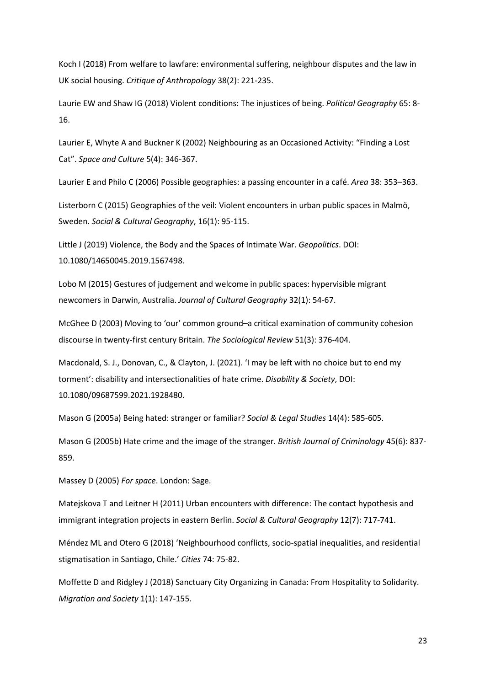Koch I (2018) From welfare to lawfare: environmental suffering, neighbour disputes and the law in UK social housing. *Critique of Anthropology* 38(2): 221-235.

Laurie EW and Shaw IG (2018) Violent conditions: The injustices of being. *Political Geography* 65: 8- 16.

Laurier E, Whyte A and Buckner K (2002) Neighbouring as an Occasioned Activity: "Finding a Lost Cat". *Space and Culture* 5(4): 346-367.

Laurier E and Philo C (2006) Possible geographies: a passing encounter in a café. *Area* 38: 353–363.

Listerborn C (2015) Geographies of the veil: Violent encounters in urban public spaces in Malmö, Sweden. *Social & Cultural Geography*, 16(1): 95-115.

Little J (2019) Violence, the Body and the Spaces of Intimate War. *Geopolitics*. DOI: 10.1080/14650045.2019.1567498.

Lobo M (2015) Gestures of judgement and welcome in public spaces: hypervisible migrant newcomers in Darwin, Australia. *Journal of Cultural Geography* 32(1): 54-67.

McGhee D (2003) Moving to 'our' common ground–a critical examination of community cohesion discourse in twenty-first century Britain. *The Sociological Review* 51(3): 376-404.

Macdonald, S. J., Donovan, C., & Clayton, J. (2021). 'I may be left with no choice but to end my torment': disability and intersectionalities of hate crime. *Disability & Society*, DOI: 10.1080/09687599.2021.1928480.

Mason G (2005a) Being hated: stranger or familiar? *Social & Legal Studies* 14(4): 585-605.

Mason G (2005b) Hate crime and the image of the stranger. *British Journal of Criminology* 45(6): 837- 859.

Massey D (2005) *For space*. London: Sage.

Matejskova T and Leitner H (2011) Urban encounters with difference: The contact hypothesis and immigrant integration projects in eastern Berlin. *Social & Cultural Geography* 12(7): 717-741.

Méndez ML and Otero G (2018) 'Neighbourhood conflicts, socio-spatial inequalities, and residential stigmatisation in Santiago, Chile.' *Cities* 74: 75-82.

Moffette D and Ridgley J (2018) Sanctuary City Organizing in Canada: From Hospitality to Solidarity. *Migration and Society* 1(1): 147-155.

23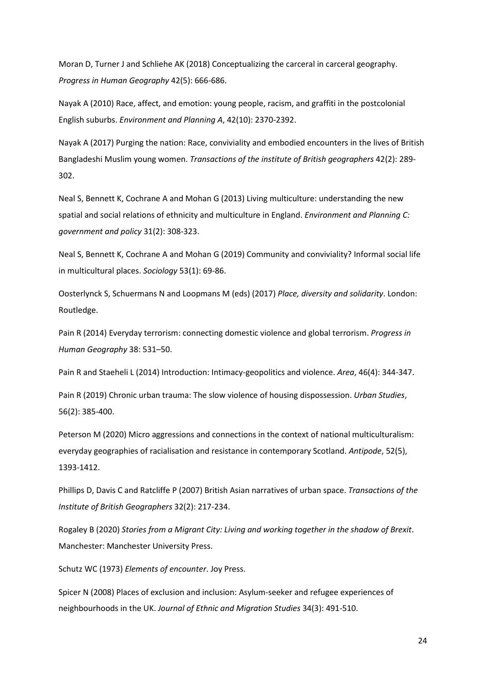Moran D, Turner J and Schliehe AK (2018) Conceptualizing the carceral in carceral geography. *Progress in Human Geography* 42(5): 666-686.

Nayak A (2010) Race, affect, and emotion: young people, racism, and graffiti in the postcolonial English suburbs. *Environment and Planning A*, 42(10): 2370-2392.

Nayak A (2017) Purging the nation: Race, conviviality and embodied encounters in the lives of British Bangladeshi Muslim young women. *Transactions of the institute of British geographers* 42(2): 289- 302.

Neal S, Bennett K, Cochrane A and Mohan G (2013) Living multiculture: understanding the new spatial and social relations of ethnicity and multiculture in England. *Environment and Planning C: government and policy* 31(2): 308-323.

Neal S, Bennett K, Cochrane A and Mohan G (2019) Community and conviviality? Informal social life in multicultural places. *Sociology* 53(1): 69-86.

Oosterlynck S, Schuermans N and Loopmans M (eds) (2017) *Place, diversity and solidarity*. London: Routledge.

Pain R (2014) Everyday terrorism: connecting domestic violence and global terrorism. *Progress in Human Geography* 38: 531–50.

Pain R and Staeheli L (2014) Introduction: Intimacy-geopolitics and violence. *Area*, 46(4): 344-347.

Pain R (2019) Chronic urban trauma: The slow violence of housing dispossession. *Urban Studies*, 56(2): 385-400.

Peterson M (2020) Micro aggressions and connections in the context of national multiculturalism: everyday geographies of racialisation and resistance in contemporary Scotland. *Antipode*, 52(5), 1393-1412.

Phillips D, Davis C and Ratcliffe P (2007) British Asian narratives of urban space. *Transactions of the Institute of British Geographers* 32(2): 217-234.

Rogaley B (2020) *Stories from a Migrant City: Living and working together in the shadow of Brexit*. Manchester: Manchester University Press.

Schutz WC (1973) *Elements of encounter*. Joy Press.

Spicer N (2008) Places of exclusion and inclusion: Asylum-seeker and refugee experiences of neighbourhoods in the UK. *Journal of Ethnic and Migration Studies* 34(3): 491-510.